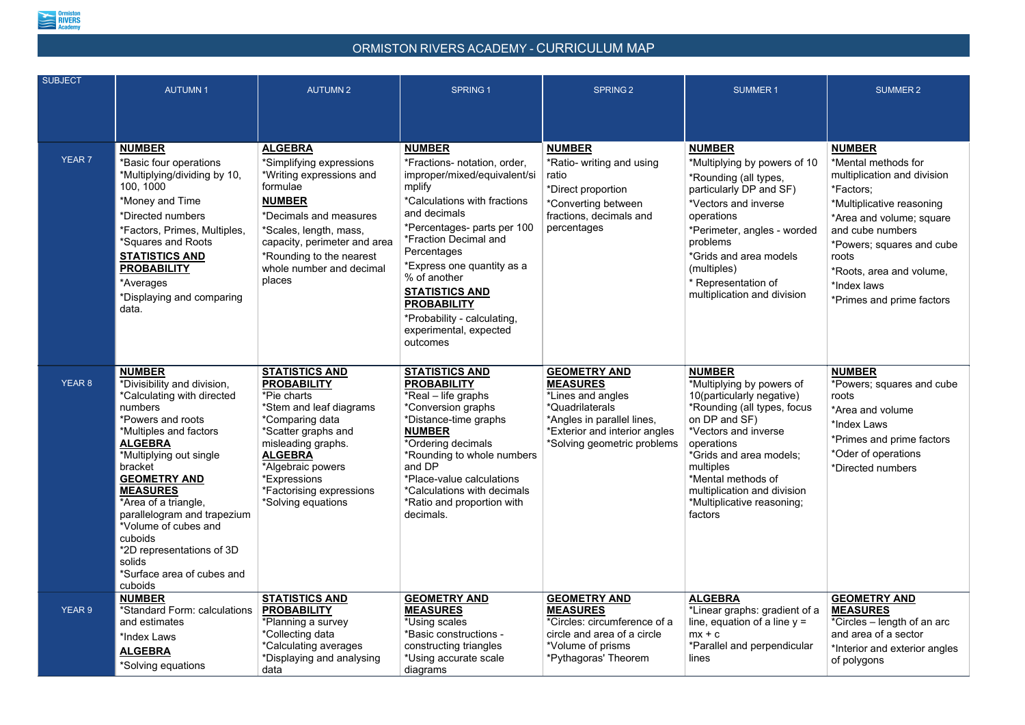

| <b>SUBJECT</b> | <b>AUTUMN1</b>                                                                                                                                                                                                                                                                                                                                                                                        | <b>AUTUMN2</b>                                                                                                                                                                                                                                                 | <b>SPRING 1</b>                                                                                                                                                                                                                                                                                                                                                      | <b>SPRING 2</b>                                                                                                                                                              | <b>SUMMER1</b>                                                                                                                                                                                                                                                                                      | <b>SUMMER 2</b>                                                                                                                                                                                                                        |
|----------------|-------------------------------------------------------------------------------------------------------------------------------------------------------------------------------------------------------------------------------------------------------------------------------------------------------------------------------------------------------------------------------------------------------|----------------------------------------------------------------------------------------------------------------------------------------------------------------------------------------------------------------------------------------------------------------|----------------------------------------------------------------------------------------------------------------------------------------------------------------------------------------------------------------------------------------------------------------------------------------------------------------------------------------------------------------------|------------------------------------------------------------------------------------------------------------------------------------------------------------------------------|-----------------------------------------------------------------------------------------------------------------------------------------------------------------------------------------------------------------------------------------------------------------------------------------------------|----------------------------------------------------------------------------------------------------------------------------------------------------------------------------------------------------------------------------------------|
| <b>YEAR 7</b>  | <b>NUMBER</b><br>*Basic four operations<br>*Multiplying/dividing by 10,<br>100, 1000<br>*Money and Time<br>*Directed numbers<br>*Factors, Primes, Multiples,<br>*Squares and Roots<br><b>STATISTICS AND</b><br><b>PROBABILITY</b><br>*Averages<br>*Displaying and comparing<br>data.                                                                                                                  | <b>ALGEBRA</b><br>*Simplifying expressions<br>*Writing expressions and<br>formulae<br><b>NUMBER</b><br>*Decimals and measures<br>*Scales, length, mass,<br>capacity, perimeter and area<br>*Rounding to the nearest<br>whole number and decimal<br>places      | <b>NUMBER</b><br>*Fractions- notation, order,<br>improper/mixed/equivalent/si<br>mplify<br>*Calculations with fractions<br>and decimals<br>*Percentages- parts per 100<br>*Fraction Decimal and<br>Percentages<br>*Express one quantity as a<br>% of another<br><b>STATISTICS AND</b><br><b>PROBABILITY</b><br>*Probability - calculating,<br>experimental, expected | <b>NUMBER</b><br>*Ratio- writing and using<br>ratio<br>*Direct proportion<br>*Converting between<br>fractions, decimals and<br>percentages                                   | <b>NUMBER</b><br>*Multiplying by powers of 10<br>*Rounding (all types,<br>particularly DP and SF)<br>*Vectors and inverse<br>operations<br>*Perimeter, angles - worded<br>problems<br>*Grids and area models<br>(multiples)<br>* Representation of<br>multiplication and division                   | <b>NUMBER</b><br>*Mental methods fo<br>multiplication and d<br>*Factors;<br>*Multiplicative reaso<br>*Area and volume;<br>and cube numbers<br>*Powers; squares a<br>roots<br>*Roots, area and vo<br>*Index laws<br>*Primes and prime t |
| YEAR 8         | <b>NUMBER</b><br>*Divisibility and division,<br>*Calculating with directed<br>numbers<br>*Powers and roots<br>*Multiples and factors<br><b>ALGEBRA</b><br>*Multiplying out single<br>bracket<br><b>GEOMETRY AND</b><br><b>MEASURES</b><br>*Area of a triangle,<br>parallelogram and trapezium<br>*Volume of cubes and<br>cuboids<br>*2D representations of 3D<br>solids<br>*Surface area of cubes and | <b>STATISTICS AND</b><br><b>PROBABILITY</b><br>*Pie charts<br>*Stem and leaf diagrams<br>*Comparing data<br>*Scatter graphs and<br>misleading graphs.<br><b>ALGEBRA</b><br>*Algebraic powers<br>*Expressions<br>*Factorising expressions<br>*Solving equations | outcomes<br><b>STATISTICS AND</b><br><b>PROBABILITY</b><br>*Real – life graphs<br>*Conversion graphs<br>*Distance-time graphs<br><b>NUMBER</b><br>*Ordering decimals<br>*Rounding to whole numbers<br>and DP<br>*Place-value calculations<br>*Calculations with decimals<br>*Ratio and proportion with<br>decimals.                                                  | <b>GEOMETRY AND</b><br><b>MEASURES</b><br>*Lines and angles<br>*Quadrilaterals<br>*Angles in parallel lines,<br>*Exterior and interior angles<br>*Solving geometric problems | <b>NUMBER</b><br>*Multiplying by powers of<br>10(particularly negative)<br>*Rounding (all types, focus<br>on DP and SF)<br>*Vectors and inverse<br>operations<br>*Grids and area models;<br>multiples<br>*Mental methods of<br>multiplication and division<br>*Multiplicative reasoning;<br>factors | <b>NUMBER</b><br>*Powers; squares a<br>roots<br>*Area and volume<br>*Index Laws<br>*Primes and prime<br>*Oder of operations<br>*Directed numbers                                                                                       |
| YEAR 9         | cuboids<br><b>NUMBER</b><br>*Standard Form: calculations<br>and estimates<br>*Index Laws<br><b>ALGEBRA</b><br>*Solving equations                                                                                                                                                                                                                                                                      | <b>STATISTICS AND</b><br><b>PROBABILITY</b><br>*Planning a survey<br>*Collecting data<br>*Calculating averages<br>*Displaying and analysing<br>data                                                                                                            | <b>GEOMETRY AND</b><br><b>MEASURES</b><br>*Using scales<br>*Basic constructions -<br>constructing triangles<br>*Using accurate scale<br>diagrams                                                                                                                                                                                                                     | <b>GEOMETRY AND</b><br><b>MEASURES</b><br>*Circles: circumference of a<br>circle and area of a circle<br>*Volume of prisms<br>*Pythagoras' Theorem                           | <b>ALGEBRA</b><br>*Linear graphs: gradient of a<br>line, equation of a line $y =$<br>$mx + c$<br>*Parallel and perpendicular<br>lines                                                                                                                                                               | <b>GEOMETRY AND</b><br><b>MEASURES</b><br>*Circles – length of<br>and area of a secto<br>*Interior and exteric<br>of polygons                                                                                                          |

| 1                                                                       | <b>SUMMER 2</b>                                                                                                                                                                                                                                                             |
|-------------------------------------------------------------------------|-----------------------------------------------------------------------------------------------------------------------------------------------------------------------------------------------------------------------------------------------------------------------------|
| ers of 10<br>S,<br>ISF)<br>sе<br>- worded<br>bdels<br>f<br>division     | <b>NUMBER</b><br>*Mental methods for<br>multiplication and division<br>*Factors;<br>*Multiplicative reasoning<br>*Area and volume; square<br>and cube numbers<br>*Powers; squares and cube<br>roots<br>*Roots, area and volume,<br>*Index laws<br>*Primes and prime factors |
| ers of<br>ative)<br>s, focus<br>se<br>odels;<br>f<br>livision<br>oning; | <u>NUMBER</u><br>*Powers; squares and cube<br>roots<br>*Area and volume<br>*Index Laws<br>*Primes and prime factors<br>*Oder of operations<br>*Directed numbers                                                                                                             |
| ıdient of a<br>ine $y =$<br>ndicular!                                   | <b>GEOMETRY AND</b><br><b>MEASURES</b><br>*Circles – length of an arc<br>and area of a sector<br>*Interior and exterior angles<br>of polygons                                                                                                                               |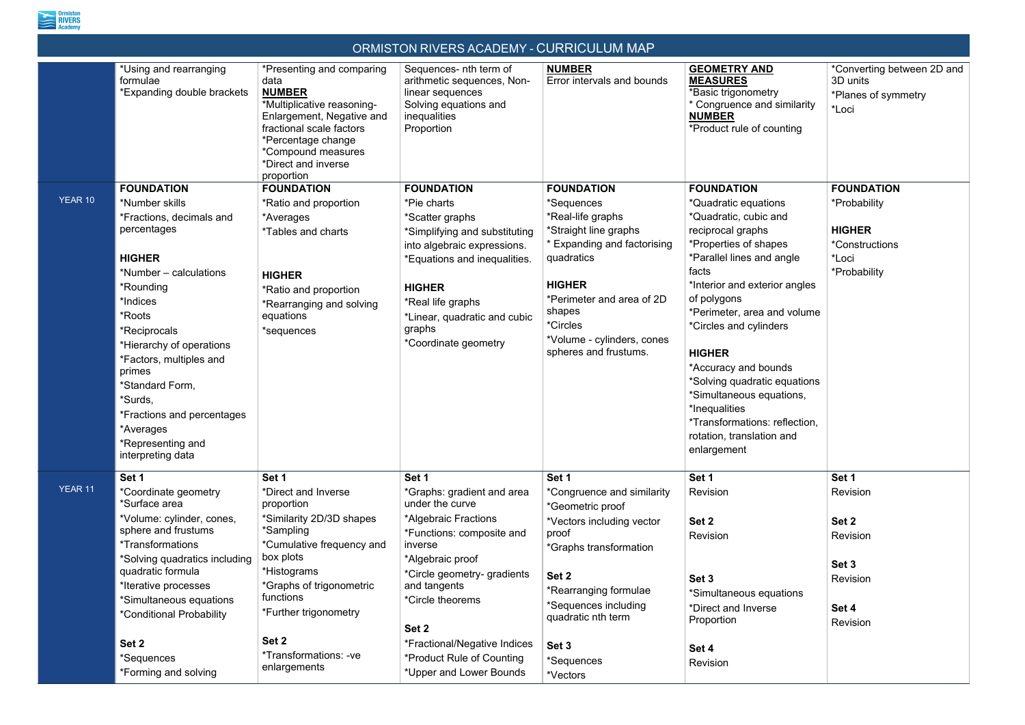

| ORMISTON RIVERS ACADEMY - CURRICULUM MAP |                                                                                                                                                                                                                                                                                                                                                                             |                                                                                                                                                                                                                                                                         |                                                                                                                                                                                                                                                                                                                |                                                                                                                                                                                                                                                       |                                                                                                                                                                                                                                                                                                                                                                                                                                                                    |                                                                                               |
|------------------------------------------|-----------------------------------------------------------------------------------------------------------------------------------------------------------------------------------------------------------------------------------------------------------------------------------------------------------------------------------------------------------------------------|-------------------------------------------------------------------------------------------------------------------------------------------------------------------------------------------------------------------------------------------------------------------------|----------------------------------------------------------------------------------------------------------------------------------------------------------------------------------------------------------------------------------------------------------------------------------------------------------------|-------------------------------------------------------------------------------------------------------------------------------------------------------------------------------------------------------------------------------------------------------|--------------------------------------------------------------------------------------------------------------------------------------------------------------------------------------------------------------------------------------------------------------------------------------------------------------------------------------------------------------------------------------------------------------------------------------------------------------------|-----------------------------------------------------------------------------------------------|
|                                          | *Using and rearranging<br>formulae<br>*Expanding double brackets                                                                                                                                                                                                                                                                                                            | *Presenting and comparing<br>data<br><b>NUMBER</b><br>*Multiplicative reasoning-<br>Enlargement, Negative and<br>fractional scale factors<br>*Percentage change<br>*Compound measures<br>*Direct and inverse<br>proportion                                              | Sequences- nth term of<br>arithmetic sequences, Non-<br>linear sequences<br>Solving equations and<br>inequalities<br>Proportion                                                                                                                                                                                | <b>NUMBER</b><br>Error intervals and bounds                                                                                                                                                                                                           | <b>GEOMETRY AND</b><br><b>MEASURES</b><br>*Basic trigonometry<br>* Congruence and similarity<br><b>NUMBER</b><br>*Product rule of counting                                                                                                                                                                                                                                                                                                                         | *Converting between 2D and<br>3D units<br>*Planes of symmetry<br>*Loci                        |
| YEAR 10                                  | <b>FOUNDATION</b><br>*Number skills<br>Fractions, decimals and<br>percentages<br><b>HIGHER</b><br>*Number - calculations<br>*Rounding<br>*Indices<br>*Roots<br>Reciprocals <sup>*</sup><br>*Hierarchy of operations<br>*Factors, multiples and<br>primes<br>*Standard Form,<br>*Surds,<br>*Fractions and percentages<br>*Averages<br>*Representing and<br>interpreting data | <b>FOUNDATION</b><br>*Ratio and proportion<br>*Averages<br><i>*Tables and charts</i><br><b>HIGHER</b><br>*Ratio and proportion<br>*Rearranging and solving<br>equations<br>*sequences                                                                                   | <b>FOUNDATION</b><br>*Pie charts<br>*Scatter graphs<br>*Simplifying and substituting<br>into algebraic expressions.<br>*Equations and inequalities.<br><b>HIGHER</b><br>*Real life graphs<br>*Linear, quadratic and cubic<br>graphs<br>*Coordinate geometry                                                    | <b>FOUNDATION</b><br>*Sequences<br>*Real-life graphs<br>*Straight line graphs<br>* Expanding and factorising<br>quadratics<br><b>HIGHER</b><br>*Perimeter and area of 2D<br>shapes<br>*Circles<br>*Volume - cylinders, cones<br>spheres and frustums. | <b>FOUNDATION</b><br>*Quadratic equations<br>*Quadratic, cubic and<br>reciprocal graphs<br>*Properties of shapes<br>*Parallel lines and angle<br>facts<br>*Interior and exterior angles<br>of polygons<br>*Perimeter, area and volume<br>*Circles and cylinders<br><b>HIGHER</b><br>*Accuracy and bounds<br>*Solving quadratic equations<br>*Simultaneous equations,<br>*Inequalities<br>*Transformations: reflection,<br>rotation, translation and<br>enlargement | <b>FOUNDATION</b><br>*Probability<br><b>HIGHER</b><br>*Constructions<br>*Loci<br>*Probability |
| <b>YEAR 11</b>                           | Set 1<br>*Coordinate geometry<br>*Surface area<br>*Volume: cylinder, cones,<br>sphere and frustums<br><i>*Transformations</i><br>*Solving quadratics including<br>quadratic formula<br>*Iterative processes<br>'Simultaneous equations<br>*Conditional Probability<br>Set 2<br>*Sequences<br>*Forming and solving                                                           | Set 1<br>*Direct and Inverse<br>proportion<br>*Similarity 2D/3D shapes<br>*Sampling<br>*Cumulative frequency and<br>box plots<br>*Histograms<br>*Graphs of trigonometric<br>functions<br>*Further trigonometry<br>Set 2<br><i>*Transformations: -ve</i><br>enlargements | Set 1<br>*Graphs: gradient and area<br>under the curve<br>*Algebraic Fractions<br>*Functions: composite and<br>inverse<br>*Algebraic proof<br>*Circle geometry- gradients<br>and tangents<br>*Circle theorems<br>Set 2<br>*Fractional/Negative Indices<br>*Product Rule of Counting<br>*Upper and Lower Bounds | Set 1<br>*Congruence and similarity<br>*Geometric proof<br>*Vectors including vector<br>proof<br>*Graphs transformation<br>Set 2<br>*Rearranging formulae<br>*Sequences including<br>quadratic nth term<br>Set 3<br>*Sequences<br>*Vectors            | Set 1<br>Revision<br>Set 2<br>Revision<br>Set 3<br>*Simultaneous equations<br>*Direct and Inverse<br>Proportion<br>Set 4<br>Revision                                                                                                                                                                                                                                                                                                                               | Set 1<br>Revision<br>Set 2<br>Revision<br>Set 3<br>Revision<br>Set 4<br>Revision              |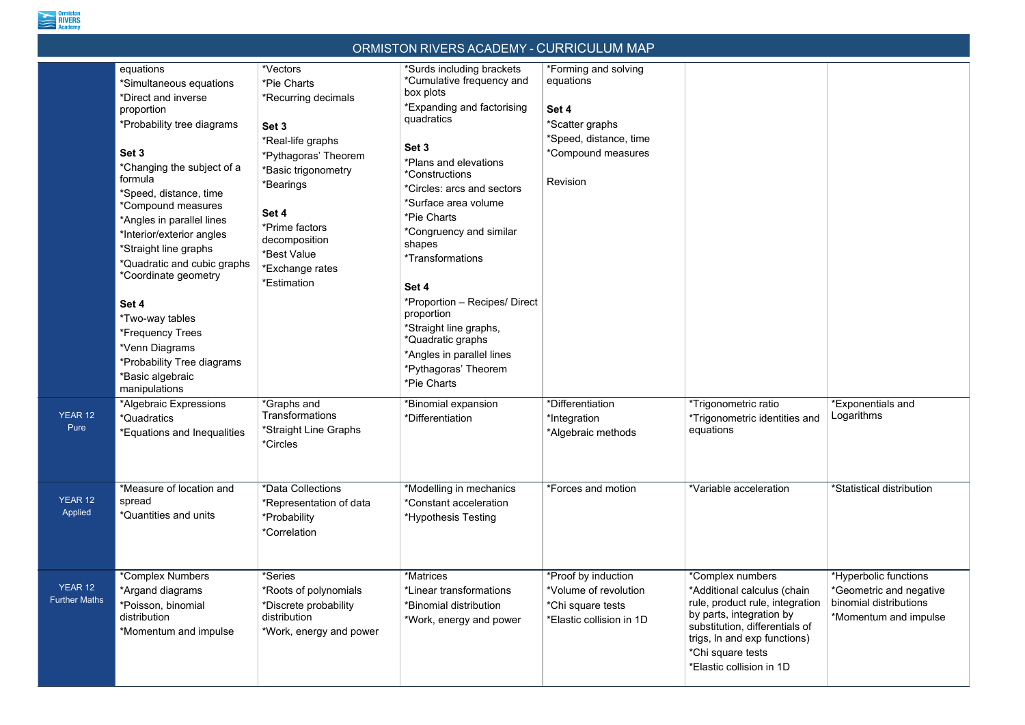

| ORMISTON RIVERS ACADEMY - CURRICULUM MAP |                                                                                                                                                                                                                                                                                                                                                                                                                                                                                                                                   |                                                                                                                                                                                                                                                                                |                                                                                                                                                                                                                                                                                                                                                                                                                                                                                                                                       |                                                                                                                                                               |                                                                                                                                                                                                                                   |                                                                                                     |  |
|------------------------------------------|-----------------------------------------------------------------------------------------------------------------------------------------------------------------------------------------------------------------------------------------------------------------------------------------------------------------------------------------------------------------------------------------------------------------------------------------------------------------------------------------------------------------------------------|--------------------------------------------------------------------------------------------------------------------------------------------------------------------------------------------------------------------------------------------------------------------------------|---------------------------------------------------------------------------------------------------------------------------------------------------------------------------------------------------------------------------------------------------------------------------------------------------------------------------------------------------------------------------------------------------------------------------------------------------------------------------------------------------------------------------------------|---------------------------------------------------------------------------------------------------------------------------------------------------------------|-----------------------------------------------------------------------------------------------------------------------------------------------------------------------------------------------------------------------------------|-----------------------------------------------------------------------------------------------------|--|
| YEAR 12                                  | equations<br>*Simultaneous equations<br>*Direct and inverse<br>proportion<br>*Probability tree diagrams<br>Set 3<br>*Changing the subject of a<br>formula<br>*Speed, distance, time<br>*Compound measures<br>*Angles in parallel lines<br>*Interior/exterior angles<br>*Straight line graphs<br>*Quadratic and cubic graphs<br>*Coordinate geometry<br>Set 4<br>*Two-way tables<br>*Frequency Trees<br>*Venn Diagrams<br>*Probability Tree diagrams<br>*Basic algebraic<br>manipulations<br>*Algebraic Expressions<br>*Quadratics | *Vectors<br>*Pie Charts<br>*Recurring decimals<br>Set 3<br>*Real-life graphs<br>*Pythagoras' Theorem<br>*Basic trigonometry<br>*Bearings<br>Set 4<br>*Prime factors<br>decomposition<br>*Best Value<br>*Exchange rates<br>*Estimation<br>*Graphs and<br><b>Transformations</b> | *Surds including brackets<br>*Cumulative frequency and<br>box plots<br>*Expanding and factorising<br>quadratics<br>Set 3<br>*Plans and elevations<br><i>*Constructions</i><br>*Circles: arcs and sectors<br>*Surface area volume<br>*Pie Charts<br>*Congruency and similar<br>shapes<br><i>*Transformations</i><br>Set 4<br>*Proportion - Recipes/ Direct<br>proportion<br>*Straight line graphs,<br>*Quadratic graphs<br>*Angles in parallel lines<br>*Pythagoras' Theorem<br>*Pie Charts<br>*Binomial expansion<br>*Differentiation | *Forming and solving<br>equations<br>Set 4<br>*Scatter graphs<br>*Speed, distance, time<br>*Compound measures<br>Revision<br>*Differentiation<br>*Integration | *Trigonometric ratio<br>*Trigonometric identities and                                                                                                                                                                             | *Exponentials and<br>Logarithms                                                                     |  |
| Pure                                     | *Equations and Inequalities                                                                                                                                                                                                                                                                                                                                                                                                                                                                                                       | *Straight Line Graphs<br>*Circles                                                                                                                                                                                                                                              |                                                                                                                                                                                                                                                                                                                                                                                                                                                                                                                                       | *Algebraic methods                                                                                                                                            | equations                                                                                                                                                                                                                         |                                                                                                     |  |
| YEAR 12<br>Applied                       | *Measure of location and<br>spread<br>*Quantities and units                                                                                                                                                                                                                                                                                                                                                                                                                                                                       | *Data Collections<br>*Representation of data<br>*Probability<br><i>*Correlation</i>                                                                                                                                                                                            | *Modelling in mechanics<br>*Constant acceleration<br>*Hypothesis Testing                                                                                                                                                                                                                                                                                                                                                                                                                                                              | *Forces and motion                                                                                                                                            | *Variable acceleration                                                                                                                                                                                                            | *Statistical distribution                                                                           |  |
| YEAR 12<br><b>Further Maths</b>          | *Complex Numbers<br>*Argand diagrams<br>*Poisson, binomial<br>distribution<br>*Momentum and impulse                                                                                                                                                                                                                                                                                                                                                                                                                               | *Series<br>*Roots of polynomials<br>*Discrete probability<br>distribution<br>*Work, energy and power                                                                                                                                                                           | *Matrices<br>*Linear transformations<br>*Binomial distribution<br>*Work, energy and power                                                                                                                                                                                                                                                                                                                                                                                                                                             | *Proof by induction<br>*Volume of revolution<br>*Chi square tests<br>*Elastic collision in 1D                                                                 | *Complex numbers<br>*Additional calculus (chain<br>rule, product rule, integration<br>by parts, integration by<br>substitution, differentials of<br>trigs, In and exp functions)<br>*Chi square tests<br>*Elastic collision in 1D | *Hyperbolic functions<br>*Geometric and negative<br>binomial distributions<br>*Momentum and impulse |  |